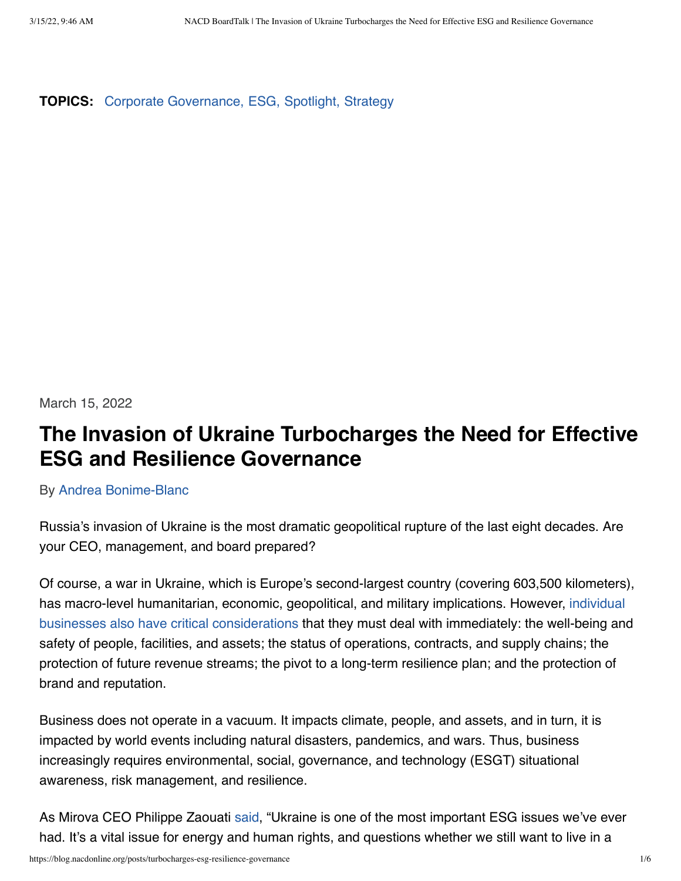**TOPICS:** [Corporate Governance,](https://blog.nacdonline.org/search?filter%5Bcategory_name%5D=corporate-governance) [ESG,](https://blog.nacdonline.org/search?filter%5Bcategory_name%5D=esg) [Spotlight,](https://blog.nacdonline.org/search?filter%5Bcategory_name%5D=spotlight) [Strategy](https://blog.nacdonline.org/search?filter%5Bcategory_name%5D=strategy)

March 15, 2022

### **The Invasion of Ukraine Turbocharges the Need for Effective ESG and Resilience Governance**

By [Andrea Bonime-Blanc](https://blog.nacdonline.org/authors/118)

Russia's invasion of Ukraine is the most dramatic geopolitical rupture of the last eight decades. Are your CEO, management, and board prepared?

Of course, a war in Ukraine, which is Europe's second-largest country (covering 603,500 kilometers), has macro-level humanitarian, economic, geopolitical, and military implications. However, [individual](https://www.ft.com/content/cfbb1598-5d69-4649-8c19-6c7c56e30664?emailId=6221f1ac4289a0000415fcb6&segmentId=a8cbd258-1d42-1845-7b82-00376a04c08f) [businesses also have critical considerations](https://www.ft.com/content/cfbb1598-5d69-4649-8c19-6c7c56e30664?emailId=6221f1ac4289a0000415fcb6&segmentId=a8cbd258-1d42-1845-7b82-00376a04c08f) that they must deal with immediately: the well-being and safety of people, facilities, and assets; the status of operations, contracts, and supply chains; the protection of future revenue streams; the pivot to a long-term resilience plan; and the protection of brand and reputation.

Business does not operate in a vacuum. It impacts climate, people, and assets, and in turn, it is impacted by world events including natural disasters, pandemics, and wars. Thus, business increasingly requires environmental, social, governance, and technology (ESGT) situational awareness, risk management, and resilience.

As Mirova CEO Philippe Zaouati [said](https://www.post-gazette.com/business/money/2022/03/08/esg-finds-itself-crossroads-after-investing-in-putin-russia-ukraine-war/stories/202203080033), "Ukraine is one of the most important ESG issues we've ever had. It's a vital issue for energy and human rights, and questions whether we still want to live in a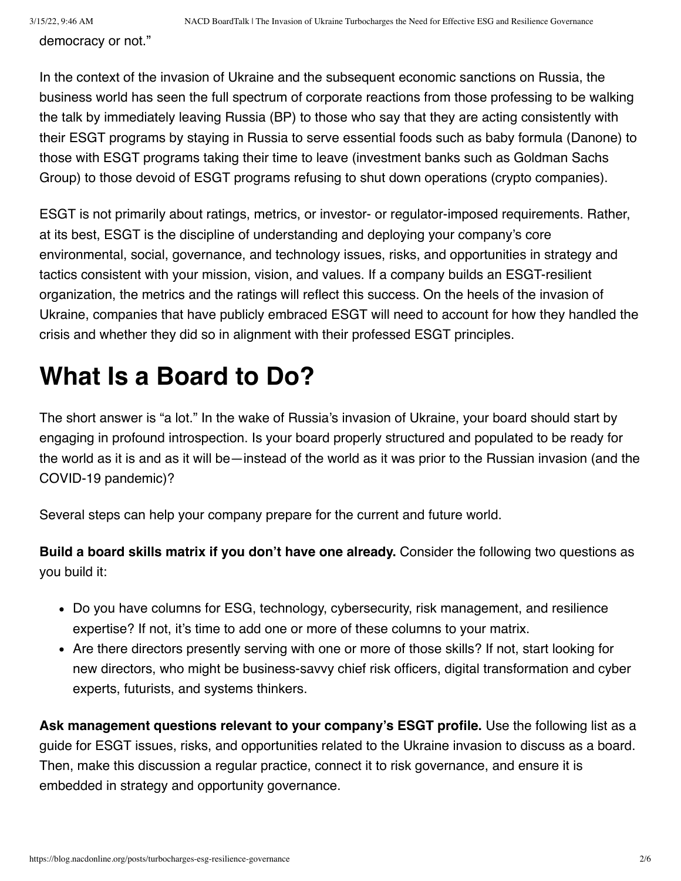democracy or not."

In the context of the invasion of Ukraine and the subsequent economic sanctions on Russia, the business world has seen the full spectrum of corporate reactions from those professing to be walking the talk by immediately leaving Russia (BP) to those who say that they are acting consistently with their ESGT programs by staying in Russia to serve essential foods such as baby formula (Danone) to those with ESGT programs taking their time to leave (investment banks such as Goldman Sachs Group) to those devoid of ESGT programs refusing to shut down operations (crypto companies).

ESGT is not primarily about ratings, metrics, or investor- or regulator-imposed requirements. Rather, at its best, ESGT is the discipline of understanding and deploying your company's core environmental, social, governance, and technology issues, risks, and opportunities in strategy and tactics consistent with your mission, vision, and values. If a company builds an ESGT-resilient organization, the metrics and the ratings will reflect this success. On the heels of the invasion of Ukraine, companies that have publicly embraced ESGT will need to account for how they handled the crisis and whether they did so in alignment with their professed ESGT principles.

## **What Is a Board to Do?**

The short answer is "a lot." In the wake of Russia's invasion of Ukraine, your board should start by engaging in profound introspection. Is your board properly structured and populated to be ready for the world as it is and as it will be—instead of the world as it was prior to the Russian invasion (and the COVID-19 pandemic)?

Several steps can help your company prepare for the current and future world.

**Build a board skills matrix if you don't have one already.** Consider the following two questions as you build it:

- Do you have columns for ESG, technology, cybersecurity, risk management, and resilience expertise? If not, it's time to add one or more of these columns to your matrix.
- Are there directors presently serving with one or more of those skills? If not, start looking for new directors, who might be business-savvy chief risk officers, digital transformation and cyber experts, futurists, and systems thinkers.

**Ask management questions relevant to your company's ESGT profile.** Use the following list as a guide for ESGT issues, risks, and opportunities related to the Ukraine invasion to discuss as a board. Then, make this discussion a regular practice, connect it to risk governance, and ensure it is embedded in strategy and opportunity governance.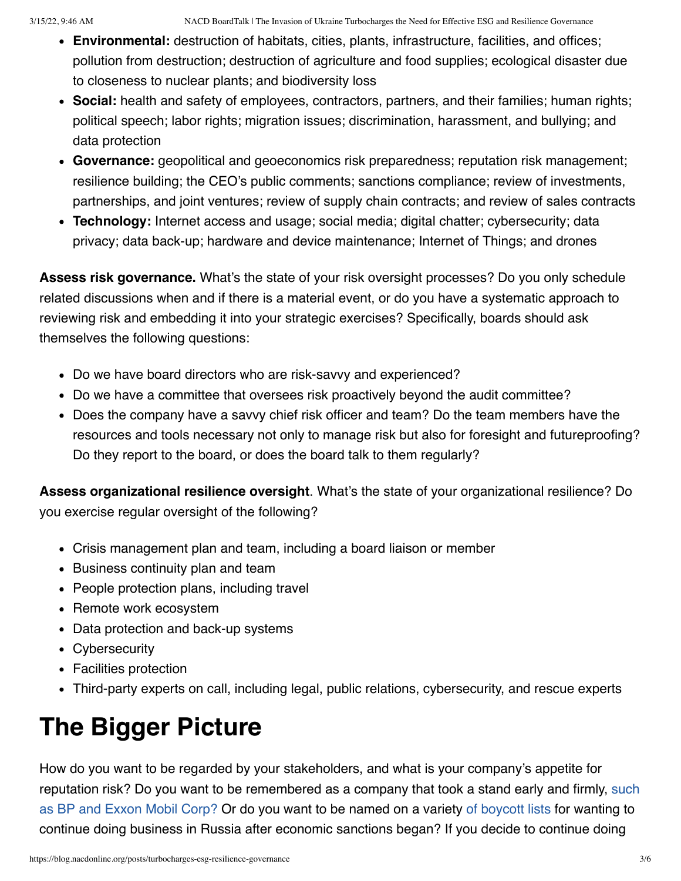- **Environmental:** destruction of habitats, cities, plants, infrastructure, facilities, and offices; pollution from destruction; destruction of agriculture and food supplies; ecological disaster due to closeness to nuclear plants; and biodiversity loss
- **Social:** health and safety of employees, contractors, partners, and their families; human rights; political speech; labor rights; migration issues; discrimination, harassment, and bullying; and data protection
- **Governance:** geopolitical and geoeconomics risk preparedness; reputation risk management; resilience building; the CEO's public comments; sanctions compliance; review of investments, partnerships, and joint ventures; review of supply chain contracts; and review of sales contracts
- **Technology:** Internet access and usage; social media; digital chatter; cybersecurity; data privacy; data back-up; hardware and device maintenance; Internet of Things; and drones

**Assess risk governance.** What's the state of your risk oversight processes? Do you only schedule related discussions when and if there is a material event, or do you have a systematic approach to reviewing risk and embedding it into your strategic exercises? Specifically, boards should ask themselves the following questions:

- Do we have board directors who are risk-savvy and experienced?
- Do we have a committee that oversees risk proactively beyond the audit committee?
- Does the company have a savvy chief risk officer and team? Do the team members have the resources and tools necessary not only to manage risk but also for foresight and futureproofing? Do they report to the board, or does the board talk to them regularly?

**Assess organizational resilience oversight**. What's the state of your organizational resilience? Do you exercise regular oversight of the following?

- Crisis management plan and team, including a board liaison or member
- Business continuity plan and team
- People protection plans, including travel
- Remote work ecosystem
- Data protection and back-up systems
- Cybersecurity
- Facilities protection
- Third-party experts on call, including legal, public relations, cybersecurity, and rescue experts

# **The Bigger Picture**

How do you want to be regarded by your stakeholders, and what is your company's appetite for [reputation risk? Do you want to be remembered as a company that took a stand early and firmly, such](https://www.wsj.com/articles/oil-company-bp-shell-exxon-russia-ukraine-11646620145#:~:text=When%20BP%20announced%20plans%20to,on%20Rosneft) as BP and Exxon Mobil Corp? Or do you want to be named on a variety [of boycott lists](https://www.boycottrussia.info/top-companies) for wanting to continue doing business in Russia after economic sanctions began? If you decide to continue doing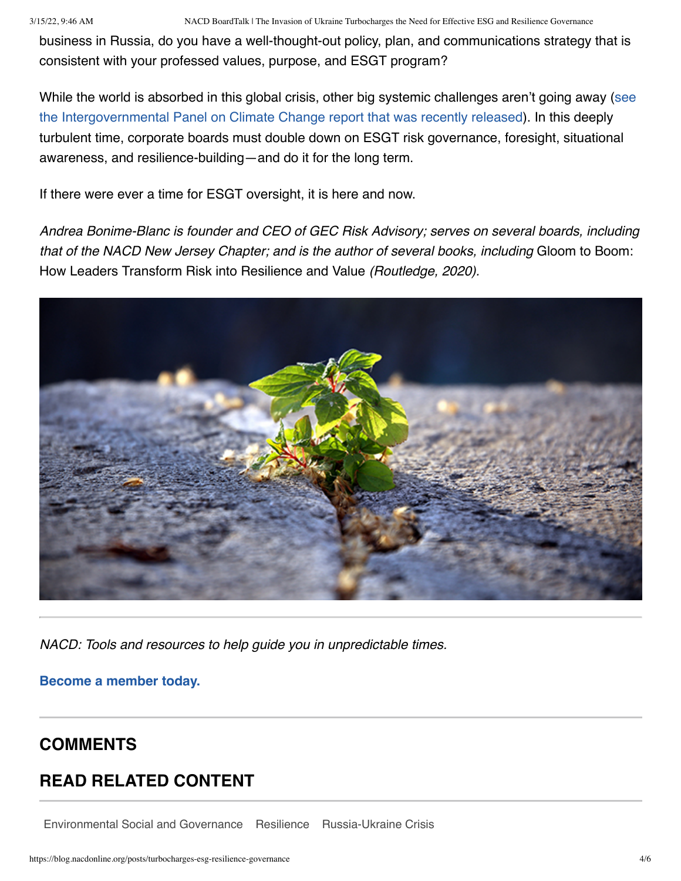business in Russia, do you have a well-thought-out policy, plan, and communications strategy that is consistent with your professed values, purpose, and ESGT program?

[While the world is absorbed in this global crisis, other big systemic challenges aren't going away \(see](https://www.ipcc.ch/) the Intergovernmental Panel on Climate Change report that was recently released). In this deeply turbulent time, corporate boards must double down on ESGT risk governance, foresight, situational awareness, and resilience-building—and do it for the long term.

If there were ever a time for ESGT oversight, it is here and now.

*Andrea Bonime-Blanc is founder and CEO of GEC Risk Advisory; serves on several boards, including that of the NACD New Jersey Chapter; and is the author of several books, including* Gloom to Boom: How Leaders Transform Risk into Resilience and Value *(Routledge, 2020).*



*NACD: Tools and resources to help guide you in unpredictable times.*

**[Become a member today.](https://www.nacdonline.org/membership/become_member.cfm?ItemNumber=63700#)**

### **COMMENTS**

### **READ RELATED CONTENT**

[Environmental Social and Governance](https://blog.nacdonline.org/search?filter%5Btag%5D=environmental-social-governance) [Resilience](https://blog.nacdonline.org/search?filter%5Btag%5D=resilience) [Russia-Ukraine Crisis](https://blog.nacdonline.org/search?filter%5Btag%5D=russia-ukraine-crisis)